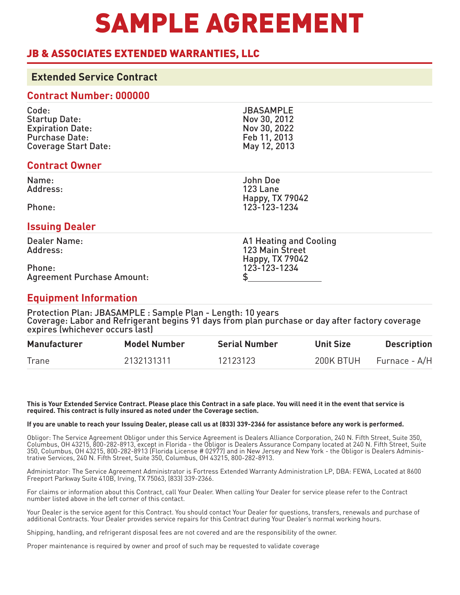# SAMPLE AGREEMENT

### JB & ASSOCIATES EXTENDED WARRANTIES, LLC

### **Extended Service Contract**

### **Contract Number: 000000**

| Code:                       | <b>JBASAMPLE</b> |
|-----------------------------|------------------|
| <b>Startup Date:</b>        | Nov 30, 2012     |
| <b>Expiration Date:</b>     | Nov 30, 2022     |
| <b>Purchase Date:</b>       | Feb 11, 2013     |
| <b>Coverage Start Date:</b> | May 12, 2013     |

### **Contract Owner**

Name: Address:

Phone:

### **Issuing Dealer**

Dealer Name: Address:

Phone: Agreement Purchase Amount:

### **Equipment Information**

Protection Plan: JBASAMPLE : Sample Plan - Length: 10 years Coverage: Labor and Refrigerant begins 91 days from plan purchase or day after factory coverage expires (whichever occurs last)

| <b>Manufacturer</b> | <b>Model Number</b> | <b>Serial Number</b> | <b>Unit Size</b> | <b>Description</b> |
|---------------------|---------------------|----------------------|------------------|--------------------|
| Trane               | 2132131311          | 12123123             | 200K BTUH        | Furnace - A/H      |

**This is Your Extended Service Contract. Please place this Contract in a safe place. You will need it in the event that service is required. This contract is fully insured as noted under the Coverage section.**

### **If you are unable to reach your Issuing Dealer, please call us at (833) 339-2366 for assistance before any work is performed.**

Obligor: The Service Agreement Obligor under this Service Agreement is Dealers Alliance Corporation, 240 N. Fifth Street, Suite 350, Columbus, OH 43215, 800-282-8913, except in Florida - the Obligor is Dealers Assurance Company located at 240 N. Fifth Street, Suite 350, Columbus, OH 43215, 800-282-8913 (Florida License # 02977) and in New Jersey and New York - the Obligor is Dealers Administrative Services, 240 N. Fifth Street, Suite 350, Columbus, OH 43215, 800-282-8913.

Administrator: The Service Agreement Administrator is Fortress Extended Warranty Administration LP, DBA: FEWA, Located at 8600 Freeport Parkway Suite 410B, Irving, TX 75063, (833) 339-2366.

For claims or information about this Contract, call Your Dealer. When calling Your Dealer for service please refer to the Contract number listed above in the left corner of this contact.

Your Dealer is the service agent for this Contract. You should contact Your Dealer for questions, transfers, renewals and purchase of additional Contracts. Your Dealer provides service repairs for this Contract during Your Dealer's normal working hours.

Shipping, handling, and refrigerant disposal fees are not covered and are the responsibility of the owner.

Proper maintenance is required by owner and proof of such may be requested to validate coverage

John Doe 123 Lane

Happy, TX 79042 123-123-1234

A1 Heating and Cooling 123 Main Street Happy, TX 79042 123-123-1234 \$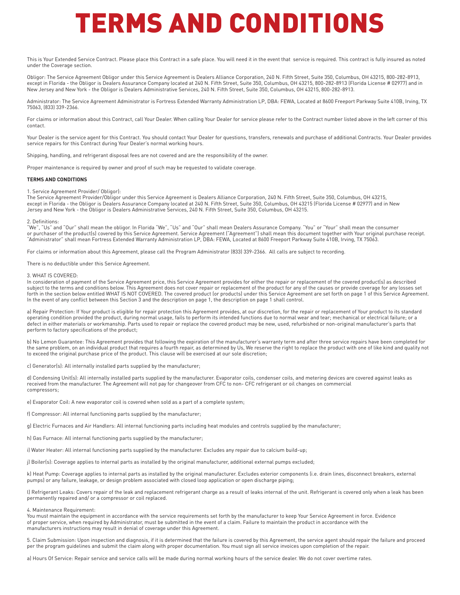This is Your Extended Service Contract. Please place this Contract in a safe place. You will need it in the event that service is required. This contract is fully insured as noted under the Coverage section.

Obligor: The Service Agreement Obligor under this Service Agreement is Dealers Alliance Corporation, 240 N. Fifth Street, Suite 350, Columbus, OH 43215, 800-282-8913, except in Florida - the Obligor is Dealers Assurance Company located at 240 N. Fifth Street, Suite 350, Columbus, OH 43215, 800-282-8913 (Florida License # 02977) and in New Jersey and New York - the Obligor is Dealers Administrative Services, 240 N. Fifth Street, Suite 350, Columbus, OH 43215, 800-282-8913.

Administrator: The Service Agreement Administrator is Fortress Extended Warranty Administration LP, DBA: FEWA, Located at 8600 Freeport Parkway Suite 410B, Irving, TX 75063, (833) 339-2366.

For claims or information about this Contract, call Your Dealer. When calling Your Dealer for service please refer to the Contract number listed above in the left corner of this contact.

Your Dealer is the service agent for this Contract. You should contact Your Dealer for questions, transfers, renewals and purchase of additional Contracts. Your Dealer provides service repairs for this Contract during Your Dealer's normal working hours.

Shipping, handling, and refrigerant disposal fees are not covered and are the responsibility of the owner.

Proper maintenance is required by owner and proof of such may be requested to validate coverage.

#### **TERMS AND CONDITIONS**

1. Service Agreement Provider/ Obligor):

The Service Agreement Provider/Obligor under this Service Agreement is Dealers Alliance Corporation, 240 N. Fifth Street, Suite 350, Columbus, OH 43215, except in Florida - the Obligor is Dealers Assurance Company located at 240 N. Fifth Street, Suite 350, Columbus, OH 43215 (Florida License # 02977) and in New Jersey and New York - the Obligor is Dealers Administrative Services, 240 N. Fifth Street, Suite 350, Columbus, OH 43215.

#### Definitions:

"We", "Us" and "Our" shall mean the obligor. In Florida "We", "Us" and "Our" shall mean Dealers Assurance Company. "You" or "Your" shall mean the consumer or purchaser of the product(s) covered by this Service Agreement. Service Agreement ("Agreement") shall mean this document together with Your original purchase receipt. "Administrator" shall mean Fortress Extended Warranty Administration LP, DBA: FEWA, Located at 8600 Freeport Parkway Suite 410B, Irving, TX 75063.

For claims or information about this Agreement, please call the Program Administrator (833) 339-2366. All calls are subject to recording.

There is no deductible under this Service Agreement.

#### 3. WHAT IS COVERED:

In consideration of payment of the Service Agreement price, this Service Agreement provides for either the repair or replacement of the covered product(s) as described subject to the terms and conditions below. This Agreement does not cover repair or replacement of the product for any of the causes or provide coverage for any losses set forth in the section below entitled WHAT IS NOT COVERED. The covered product (or products) under this Service Agreement are set forth on page 1 of this Service Agreement. In the event of any conflict between this Section 3 and the description on page 1, the description on page 1 shall control.

a) Repair Protection: If Your product is eligible for repair protection this Agreement provides, at our discretion, for the repair or replacement of Your product to its standard operating condition provided the product, during normal usage, fails to perform its intended functions due to normal wear and tear; mechanical or electrical failure; or a defect in either materials or workmanship. Parts used to repair or replace the covered product may be new, used, refurbished or non-original manufacturer's parts that perform to factory specifications of the product;

b) No Lemon Guarantee: This Agreement provides that following the expiration of the manufacturer's warranty term and after three service repairs have been completed for the same problem, on an individual product that requires a fourth repair, as determined by Us, We reserve the right to replace the product with one of like kind and quality not to exceed the original purchase price of the product. This clause will be exercised at our sole discretion;

c) Generator(s): All internally installed parts supplied by the manufacturer;

d) Condensing Unit(s): All internally installed parts supplied by the manufacturer. Evaporator coils, condenser coils, and metering devices are covered against leaks as received from the manufacturer. The Agreement will not pay for changeover from CFC to non- CFC refrigerant or oil changes on commercial compressors;

e) Evaporator Coil: A new evaporator coil is covered when sold as a part of a complete system;

f) Compressor: All internal functioning parts supplied by the manufacturer;

g) Electric Furnaces and Air Handlers: All internal functioning parts including heat modules and controls supplied by the manufacturer;

h) Gas Furnace: All internal functioning parts supplied by the manufacturer;

i) Water Heater: All internal functioning parts supplied by the manufacturer. Excludes any repair due to calcium build-up;

j) Boiler(s): Coverage applies to internal parts as installed by the original manufacturer, additional external pumps excluded;

k) Heat Pump: Coverage applies to internal parts as installed by the original manufacturer. Excludes exterior components (i.e. drain lines, disconnect breakers, external pumps) or any failure, leakage, or design problem associated with closed loop application or open discharge piping;

l) Refrigerant Leaks: Covers repair of the leak and replacement refrigerant charge as a result of leaks internal of the unit. Refrigerant is covered only when a leak has been permanently repaired and/ or a compressor or coil replaced.

#### 4. Maintenance Requirement:

You must maintain the equipment in accordance with the service requirements set forth by the manufacturer to keep Your Service Agreement in force. Evidence of proper service, when required by Administrator, must be submitted in the event of a claim. Failure to maintain the product in accordance with the manufacturers instructions may result in denial of coverage under this Agreement.

5. Claim Submission: Upon inspection and diagnosis, if it is determined that the failure is covered by this Agreement, the service agent should repair the failure and proceed per the program guidelines and submit the claim along with proper documentation. You must sign all service invoices upon completion of the repair.

a) Hours Of Service: Repair service and service calls will be made during normal working hours of the service dealer. We do not cover overtime rates.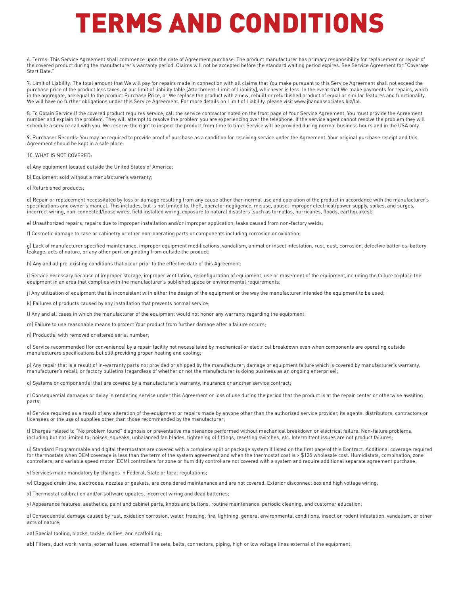6. Terms: This Service Agreement shall commence upon the date of Agreement purchase. The product manufacturer has primary responsibility for replacement or repair of the covered product during the manufacturer's warranty period. Claims will not be accepted before the standard waiting period expires. See Service Agreement for "Coverage Start Date."

7. Limit of Liability: The total amount that We will pay for repairs made in connection with all claims that You make pursuant to this Service Agreement shall not exceed the purchase price of the product less taxes, or our limit of liability table [Attachment: Limit of Liability], whichever is less. In the event that We make payments for repairs, which in the aggregate, are equal to the product Purchase Price, or We replace the product with a new, rebuilt or refurbished product of equal or similar features and functionality, We will have no further obligations under this Service Agreement. For more details on Limit of Liability, please visit www.jbandassociates.biz/lol.

8. To Obtain Service:If the covered product requires service, call the service contractor noted on the front page of Your Service Agreement. You must provide the Agreement number and explain the problem. They will attempt to resolve the problem you are experiencing over the telephone. If the service agent cannot resolve the problem they will schedule a service call with you. We reserve the right to inspect the product from time to time. Service will be provided during normal business hours and in the USA only.

9. Purchaser Records: You may be required to provide proof of purchase as a condition for receiving service under the Agreement. Your original purchase receipt and this Agreement should be kept in a safe place.

#### 10. WHAT IS NOT COVERED:

a) Any equipment located outside the United States of America;

b) Equipment sold without a manufacturer's warranty;

c) Refurbished products;

d) Repair or replacement necessitated by loss or damage resulting from any cause other than normal use and operation of the product in accordance with the manufacturer's specifications and owner's manual. This includes, but is not limited to, theft, operator negligence, misuse, abuse, improper electrical/power supply, spikes, and surges, incorrect wiring, non-connected/loose wires, field installed wiring, exposure to natural disasters (such as tornados, hurricanes, floods, earthquakes);

e) Unauthorized repairs, repairs due to improper installation and/or improper application, leaks caused from non-factory welds;

f) Cosmetic damage to case or cabinetry or other non-operating parts or components including corrosion or oxidation;

g) Lack of manufacturer specified maintenance, improper equipment modifications, vandalism, animal or insect infestation, rust, dust, corrosion, defective batteries, battery leakage, acts of nature, or any other peril originating from outside the product;

h) Any and all pre-existing conditions that occur prior to the effective date of this Agreement;

i) Service necessary because of improper storage, improper ventilation, reconfiguration of equipment, use or movement of the equipment, including the failure to place the equipment in an area that complies with the manufacturer's published space or environmental requirements;

j) Any utilization of equipment that is inconsistent with either the design of the equipment or the way the manufacturer intended the equipment to be used;

k) Failures of products caused by any installation that prevents normal service;

l) Any and all cases in which the manufacturer of the equipment would not honor any warranty regarding the equipment;

m) Failure to use reasonable means to protect Your product from further damage after a failure occurs;

n) Product(s) with removed or altered serial number;

o) Service recommended (for convenience) by a repair facility not necessitated by mechanical or electrical breakdown even when components are operating outside manufacturers specifications but still providing proper heating and cooling;

p) Any repair that is a result of in-warranty parts not provided or shipped by the manufacturer; damage or equipment failure which is covered by manufacturer's warranty, manufacturer's recall, or factory bulletins (regardless of whether or not the manufacturer is doing business as an ongoing enterprise);

q) Systems or component(s) that are covered by a manufacturer's warranty, insurance or another service contract;

r) Consequential damages or delay in rendering service under this Agreement or loss of use during the period that the product is at the repair center or otherwise awaiting parts;

s) Service required as a result of any alteration of the equipment or repairs made by anyone other than the authorized service provider, its agents, distributors, contractors or licensees or the use of supplies other than those recommended by the manufacturer;

t) Charges related to "No problem found" diagnosis or preventative maintenance performed without mechanical breakdown or electrical failure. Non-failure problems, including but not limited to; noises, squeaks, unbalanced fan blades, tightening of fittings, resetting switches, etc. Intermittent issues are not product failures;

u) Standard Programmable and digital thermostats are covered with a complete split or package system if listed on the first page of this Contract. Additional coverage required for thermostats when OEM coverage is less than the term of the system agreement and when the thermostat cost is > \$125 wholesale cost. Humidistats, combination, zone controllers, and variable speed motor (ECM) controllers for zone or humidity control are not covered with a system and require additional separate agreement purchase;

v) Services made mandatory by changes in Federal, State or local regulations;

w) Clogged drain line, electrodes, nozzles or gaskets, are considered maintenance and are not covered. Exterior disconnect box and high voltage wiring;

x) Thermostat calibration and/or software updates, incorrect wiring and dead batteries;

y) Appearance features, aesthetics, paint and cabinet parts, knobs and buttons, routine maintenance, periodic cleaning, and customer education;

z) Consequential damage caused by rust, oxidation corrosion, water, freezing, fire, lightning, general environmental conditions, insect or rodent infestation, vandalism, or other acts of nature;

aa) Special tooling, blocks, tackle, dollies, and scaffolding;

ab) Filters, duct work, vents, external fuses, external line sets, belts, connectors, piping, high or low voltage lines external of the equipment;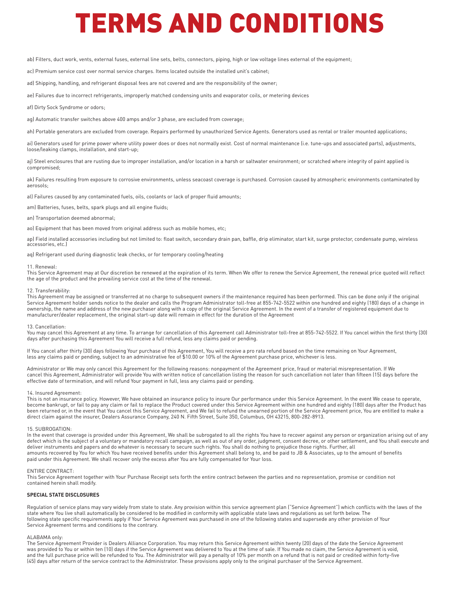ab) Filters, duct work, vents, external fuses, external line sets, belts, connectors, piping, high or low voltage lines external of the equipment;

ac) Premium service cost over normal service charges. Items located outside the installed unit's cabinet;

ad) Shipping, handling, and refrigerant disposal fees are not covered and are the responsibility of the owner;

ae) Failures due to incorrect refrigerants, improperly matched condensing units and evaporator coils, or metering devices

af) Dirty Sock Syndrome or odors:

ag) Automatic transfer switches above 400 amps and/or 3 phase, are excluded from coverage;

ah) Portable generators are excluded from coverage. Repairs performed by unauthorized Service Agents. Generators used as rental or trailer mounted applications;

ai) Generators used for prime power where utility power does or does not normally exist. Cost of normal maintenance (i.e. tune-ups and associated parts), adjustments, loose/leaking clamps, installation, and start-up;

aj) Steel enclosures that are rusting due to improper installation, and/or location in a harsh or saltwater environment; or scratched where integrity of paint applied is compromised;

ak) Failures resulting from exposure to corrosive environments, unless seacoast coverage is purchased. Corrosion caused by atmospheric environments contaminated by aerosols;

al) Failures caused by any contaminated fuels, oils, coolants or lack of proper fluid amounts;

am) Batteries, fuses, belts, spark plugs and all engine fluids;

an) Transportation deemed abnormal;

ao) Equipment that has been moved from original address such as mobile homes, etc;

ap) Field installed accessories including but not limited to: float switch, secondary drain pan, baffle, drip eliminator, start kit, surge protector, condensate pump, wireless accessories, etc.)

aq) Refrigerant used during diagnostic leak checks, or for temporary cooling/heating

#### 11. Renewal:

This Service Agreement may at Our discretion be renewed at the expiration of its term. When We offer to renew the Service Agreement, the renewal price quoted will reflect the age of the product and the prevailing service cost at the time of the renewal.

#### 12. Transferability:

This Agreement may be assigned or transferred at no charge to subsequent owners if the maintenance required has been performed. This can be done only if the original Service Agreement holder sends notice to the dealer and calls the Program Administrator toll-free at 855-742-5522 within one hundred and eighty (180) days of a change in ownership, the name and address of the new purchaser along with a copy of the original Service Agreement. In the event of a transfer of registered equipment due to manufacturer/dealer replacement, the original start-up date will remain in effect for the duration of the Agreement

#### 13. Cancellation:

You may cancel this Agreement at any time. To arrange for cancellation of this Agreement call Administrator toll-free at 855-742-5522. If You cancel within the first thirty (30) days after purchasing this Agreement You will receive a full refund, less any claims paid or pending.

If You cancel after thirty (30) days following Your purchase of this Agreement, You will receive a pro rata refund based on the time remaining on Your Agreement, less any claims paid or pending, subject to an administrative fee of \$10.00 or 10% of the Agreement purchase price, whichever is less.

Administrator or We may only cancel this Agreement for the following reasons: nonpayment of the Agreement price, fraud or material misrepresentation. If We cancel this Agreement, Administrator will provide You with written notice of cancellation listing the reason for such cancellation not later than fifteen (15) days before the effective date of termination, and will refund Your payment in full, less any claims paid or pending.

#### 14. Insured Agreement:

This is not an insurance policy. However, We have obtained an insurance policy to insure Our performance under this Service Agreement. In the event We cease to operate, become bankrupt, or fail to pay any claim or fail to replace the Product covered under this Service Agreement within one hundred and eighty (180) days after the Product has been returned or, in the event that You cancel this Service Agreement, and We fail to refund the unearned portion of the Service Agreement price, You are entitled to make a direct claim against the insurer, Dealers Assurance Company, 240 N. Fifth Street, Suite 350, Columbus, OH 43215, 800-282-8913.

#### 15. SUBROGATION:

In the event that coverage is provided under this Agreement, We shall be subrogated to all the rights You have to recover against any person or organization arising out of any defect which is the subject of a voluntary or mandatory recall campaign, as well as out of any order, judgment, consent decree, or other settlement, and You shall execute and deliver instruments and papers and do whatever is necessary to secure such rights. You shall do nothing to prejudice those rights. Further, all amounts recovered by You for which You have received benefits under this Agreement shall belong to, and be paid to JB & Associates, up to the amount of benefits paid under this Agreement. We shall recover only the excess after You are fully compensated for Your loss.

#### ENTIRE CONTRACT:

This Service Agreement together with Your Purchase Receipt sets forth the entire contract between the parties and no representation, promise or condition not contained herein shall modify.

#### **SPECIAL STATE DISCLOSURES**

Regulation of service plans may vary widely from state to state. Any provision within this service agreement plan ("Service Agreement") which conflicts with the laws of the state where You live shall automatically be considered to be modified in conformity with applicable state laws and regulations as set forth below. The following state specific requirements apply if Your Service Agreement was purchased in one of the following states and supersede any other provision of Your Service Agreement terms and conditions to the contrary.

#### ALABAMA only:

The Service Agreement Provider is Dealers Alliance Corporation. You may return this Service Agreement within twenty (20) days of the date the Service Agreement was provided to You or within ten (10) days if the Service Agreement was delivered to You at the time of sale. If You made no claim, the Service Agreement is void, and the full purchase price will be refunded to You. The Administrator will pay a penalty of 10% per month on a refund that is not paid or credited within forty-five (45) days after return of the service contract to the Administrator. These provisions apply only to the original purchaser of the Service Agreement.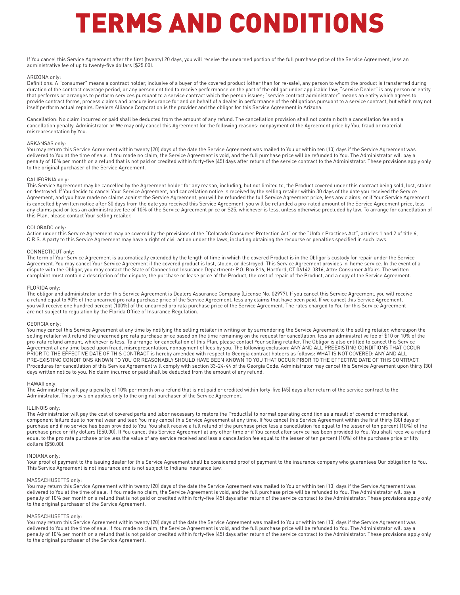If You cancel this Service Agreement after the first (twenty) 20 days, you will receive the unearned portion of the full purchase price of the Service Agreement, less an administrative fee of up to twenty-five dollars (\$25.00).

#### ARIZONA only:

Definitions: A "consumer" means a contract holder, inclusive of a buyer of the covered product (other than for re-sale), any person to whom the product is transferred during duration of the contract coverage period, or any person entitled to receive performance on the part of the obligor under applicable law; "service Dealer" is any person or entity that performs or arranges to perform services pursuant to a service contract which the person issues; "service contract administrator" means an entity which agrees to provide contract forms, process claims and procure insurance for and on behalf of a dealer in performance of the obligations pursuant to a service contract, but which may not itself perform actual repairs. Dealers Alliance Corporation is the provider and the obligor for this Service Agreement in Arizona.

Cancellation: No claim incurred or paid shall be deducted from the amount of any refund. The cancellation provision shall not contain both a cancellation fee and a cancellation penalty. Administrator or We may only cancel this Agreement for the following reasons: nonpayment of the Agreement price by You, fraud or material misrepresentation by You.

#### ARKANSAS only:

You may return this Service Agreement within twenty (20) days of the date the Service Agreement was mailed to You or within ten (10) days if the Service Agreement was delivered to You at the time of sale. If You made no claim, the Service Agreement is void, and the full purchase price will be refunded to You. The Administrator will pay a penalty of 10% per month on a refund that is not paid or credited within forty-five (45) days after return of the service contract to the Administrator. These provisions apply only to the original purchaser of the Service Agreement.

#### CALIFORNIA only:

This Service Agreement may be cancelled by the Agreement holder for any reason, including, but not limited to, the Product covered under this contract being sold, lost, stolen or destroyed. If You decide to cancel Your Service Agreement, and cancellation notice is received by the selling retailer within 30 days of the date you received the Service Agreement, and you have made no claims against the Service Agreement, you will be refunded the full Service Agreement price, less any claims; or if Your Service Agreement is cancelled by written notice after 30 days from the date you received this Service Agreement, you will be refunded a pro-rated amount of the Service Agreement price, less any claims paid or less an administrative fee of 10% of the Service Agreement price or \$25, whichever is less, unless otherwise precluded by law. To arrange for cancellation of this Plan, please contact Your selling retailer.

#### COLORADO only:

Action under this Service Agreement may be covered by the provisions of the "Colorado Consumer Protection Act" or the "Unfair Practices Act", articles 1 and 2 of title 6, C.R.S. A party to this Service Agreement may have a right of civil action under the laws, including obtaining the recourse or penalties specified in such laws.

#### CONNECTICUT only:

The term of Your Service Agreement is automatically extended by the length of time in which the covered Product is in the Obligor's custody for repair under the Service Agreement. You may cancel Your Service Agreement if the covered product is lost, stolen, or destroyed. This Service Agreement provides in-home service. In the event of a dispute with the Obligor, you may contact the State of Connecticut Insurance Department: P.O. Box 816, Hartford, CT 06142-0816, Attn: Consumer Affairs. The written complaint must contain a description of the dispute, the purchase or lease price of the Product, the cost of repair of the Product, and a copy of the Service Agreement.

#### FLORIDA only:

The obligor and administrator under this Service Agreement is Dealers Assurance Company (License No. 02977). If you cancel this Service Agreement, you will receive a refund equal to 90% of the unearned pro rata purchase price of the Service Agreement, less any claims that have been paid. If we cancel this Service Agreement, you will receive one hundred percent (100%) of the unearned pro rata purchase price of the Service Agreement. The rates charged to You for this Service Agreement are not subject to regulation by the Florida Office of Insurance Regulation.

#### GEORGIA only:

You may cancel this Service Agreement at any time by notifying the selling retailer in writing or by surrendering the Service Agreement to the selling retailer, whereupon the selling retailer will refund the unearned pro rata purchase price based on the time remaining on the request for cancellation, less an administrative fee of \$10 or 10% of the pro-rata refund amount, whichever is less. To arrange for cancellation of this Plan, please contact Your selling retailer. The Obligor is also entitled to cancel this Service Agreement at any time based upon fraud, misrepresentation, nonpayment of fees by you. The following exclusion: ANY AND ALL PREEXISTING CONDITIONS THAT OCCUR PRIOR TO THE EFFECTIVE DATE OF THIS CONTRACT is hereby amended with respect to Georgia contract holders as follows: WHAT IS NOT COVERED: ANY AND ALL PRE-EXISTING CONDITIONS KNOWN TO YOU OR REASONABLY SHOULD HAVE BEEN KNOWN TO YOU THAT OCCUR PRIOR TO THE EFFECTIVE DATE OF THIS CONTRACT. Procedures for cancellation of this Service Agreement will comply with section 33-24-44 of the Georgia Code. Administrator may cancel this Service Agreement upon thirty (30) days written notice to you. No claim incurred or paid shall be deducted from the amount of any refund.

#### HAWAII only:

The Administrator will pay a penalty of 10% per month on a refund that is not paid or credited within forty-five (45) days after return of the service contract to the Administrator. This provision applies only to the original purchaser of the Service Agreement.

#### ILLINOIS only:

The Administrator will pay the cost of covered parts and labor necessary to restore the Product(s) to normal operating condition as a result of covered or mechanical component failure due to normal wear and tear. You may cancel this Service Agreement at any time. If You cancel this Service Agreement within the first thirty (30) days of purchase and if no service has been provided to You, You shall receive a full refund of the purchase price less a cancellation fee equal to the lesser of ten percent (10%) of the purchase price or fifty dollars (\$50.00). If You cancel this Service Agreement at any other time or if You cancel after service has been provided to You, You shall receive a refund equal to the pro rata purchase price less the value of any service received and less a cancellation fee equal to the lesser of ten percent (10%) of the purchase price or fifty dollars (\$50.00).

#### INDIANA only:

Your proof of payment to the issuing dealer for this Service Agreement shall be considered proof of payment to the insurance company who guarantees Our obligation to You. This Service Agreement is not insurance and is not subject to Indiana insurance law.

#### MASSACHUSETTS only:

You may return this Service Agreement within twenty (20) days of the date the Service Agreement was mailed to You or within ten (10) days if the Service Agreement was delivered to You at the time of sale. If You made no claim, the Service Agreement is void, and the full purchase price will be refunded to You. The Administrator will pay a penalty of 10% per month on a refund that is not paid or credited within forty-five (45) days after return of the service contract to the Administrator. These provisions apply only to the original purchaser of the Service Agreement.

#### MASSACHUSETTS only:

You may return this Service Agreement within twenty (20) days of the date the Service Agreement was mailed to You or within ten (10) days if the Service Agreement was delivered to You at the time of sale. If You made no claim, the Service Agreement is void, and the full purchase price will be refunded to You. The Administrator will pay a penalty of 10% per month on a refund that is not paid or credited within forty-five (45) days after return of the service contract to the Administrator. These provisions apply only to the original purchaser of the Service Agreement.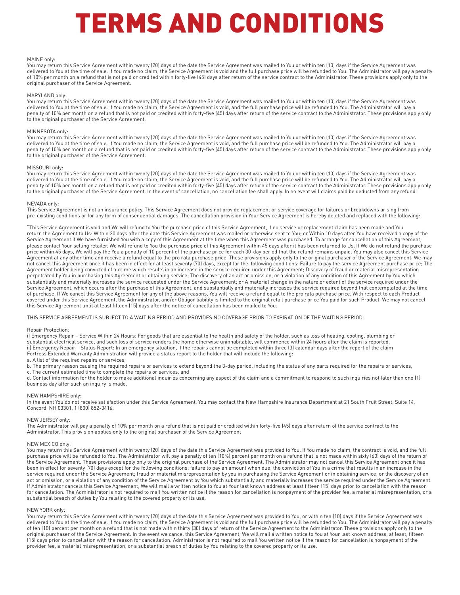#### MAINE only:

You may return this Service Agreement within twenty (20) days of the date the Service Agreement was mailed to You or within ten (10) days if the Service Agreement was delivered to You at the time of sale. If You made no claim, the Service Agreement is void and the full purchase price will be refunded to You. The Administrator will pay a penalty of 10% per month on a refund that is not paid or credited within forty-five (45) days after return of the service contract to the Administrator. These provisions apply only to the original purchaser of the Service Agreement.

#### MARYLAND only:

You may return this Service Agreement within twenty (20) days of the date the Service Agreement was mailed to You or within ten (10) days if the Service Agreement was delivered to You at the time of sale. If You made no claim, the Service Agreement is void, and the full purchase price will be refunded to You. The Administrator will pay a penalty of 10% per month on a refund that is not paid or credited within forty-five (45) days after return of the service contract to the Administrator. These provisions apply only to the original purchaser of the Service Agreement.

#### MINNESOTA only:

You may return this Service Agreement within twenty (20) days of the date the Service Agreement was mailed to You or within ten (10) days if the Service Agreement was delivered to You at the time of sale. If You made no claim, the Service Agreement is void, and the full purchase price will be refunded to You. The Administrator will pay a penalty of 10% per month on a refund that is not paid or credited within forty-five (45) days after return of the service contract to the Administrator. These provisions apply only to the original purchaser of the Service Agreement.

#### MISSOURI only:

You may return this Service Agreement within twenty (20) days of the date the Service Agreement was mailed to You or within ten (10) days if the Service Agreement was delivered to You at the time of sale. If You made no claim, the Service Agreement is void, and the full purchase price will be refunded to You. The Administrator will pay a penalty of 10% per month on a refund that is not paid or credited within forty-five (45) days after return of the service contract to the Administrator. These provisions apply only to the original purchaser of the Service Agreement. In the event of cancellation, no cancellation fee shall apply. In no event will claims paid be deducted from any refund.

#### NEVADA only:

This Service Agreement is not an insurance policy. This Service Agreement does not provide replacement or service coverage for failures or breakdowns arising from pre-existing conditions or for any form of consequential damages. The cancellation provision in Your Service Agreement is hereby deleted and replaced with the following:

"This Service Agreement is void and We will refund to You the purchase price of this Service Agreement, if no service or replacement claim has been made and You return the Agreement to Us: Within 20 days after the date this Service Agreement was mailed or otherwise sent to You; or Within 10 days after You have received a copy of the Service Agreement if We have furnished You with a copy of this Agreement at the time when this Agreement was purchased. To arrange for cancellation of this Agreement, please contact Your selling retailer. We will refund to You the purchase price of this Agreement within 45 days after it has been returned to Us. If We do not refund the purchase price within 45 days, We will pay the You a penalty of 10 percent of the purchase price for each 30-day period that the refund remains unpaid. You may also cancel this Service Agreement at any other time and receive a refund equal to the pro rata purchase price. These provisions apply only to the original purchaser of the Service Agreement. We may not cancel this Agreement once it has been in effect for at least seventy (70) days, except for the following conditions: Failure to pay the service Agreement purchase price; The Agreement holder being convicted of a crime which results in an increase in the service required under this Agreement; Discovery of fraud or material misrepresentation perpetrated by You in purchasing this Agreement or obtaining service; The discovery of an act or omission, or a violation of any condition of this Agreement by You which .<br>substantially and materially increases the service requested under the Service Agreement; or A material change in the nature or extent of the service required under the Service Agreement, which occurs after the purchase of this Agreement, and substantially and materially increases the service required beyond that contemplated at the time of purchase. If We cancel this Service Agreement for any of the above reasons, You will receive a refund equal to the pro rata purchase price. With respect to each Product covered under this Service Agreement, the Administrator, and/or Obligor liability is limited to the original retail purchase price You paid for such Product. We may not cancel this Service Agreement until at least fifteen (15) days after the notice of cancellation has been mailed to You.

THIS SERVICE AGREEMENT IS SUBJECT TO A WAITING PERIOD AND PROVIDES NO COVERAGE PRIOR TO EXPIRATION OF THE WAITING PERIOD.

#### Repair Protection:

i) Emergency Repair - Service Within 24 Hours: For goods that are essential to the health and safety of the holder, such as loss of heating, cooling, plumbing or substantial electrical service, and such loss of service renders the home otherwise uninhabitable, will commence within 24 hours after the claim is reported. ii) Emergency Repair – Status Report: In an emergency situation, if the repairs cannot be completed within three (3) calendar days after the report of the claim Fortress Extended Warranty Administration will provide a status report to the holder that will include the following:

a. A list of the required repairs or services,

b. The primary reason causing the required repairs or services to extend beyond the 3-day period, including the status of any parts required for the repairs or services, c. The current estimated time to complete the repairs or services, and

d. Contact information for the holder to make additional inquiries concerning any aspect of the claim and a commitment to respond to such inquiries not later than one (1) business day after such an inquiry is made.

#### NEW HAMPSHIRE only:

In the event You do not receive satisfaction under this Service Agreement, You may contact the New Hampshire Insurance Department at 21 South Fruit Street, Suite 14, Concord, NH 03301, 1 (800) 852-3416.

#### NEW JERSEY only:

The Administrator will pay a penalty of 10% per month on a refund that is not paid or credited within forty-five (45) days after return of the service contract to the Administrator. This provision applies only to the original purchaser of the Service Agreement

#### NEW MEXICO only:

You may return this Service Agreement within twenty (20) days of the date this Service Agreement was provided to You. If You made no claim, the contract is void, and the full purchase price will be refunded to You. The Administrator will pay a penalty of ten (10%) percent per month on a refund that is not made within sixty (60) days of the return of the Service Agreement. These provisions apply only to the original purchase of the Service Agreement. The Administrator may not cancel this Service Agreement once it has been in effect for seventy (70) days except for the following conditions: failure to pay an amount when due; the conviction of You in a crime that results in an increase in the service required under the Service Agreement; fraud or material misrepresentation by you in purchasing the Service Agreement or in obtaining service; or the discovery of an act or omission, or a violation of any condition of the Service Agreement by You which substantially and materially increases the service required under the Service Agreement. If Administrator cancels this Service Agreement, We will mail a written notice to You at Your last known address at least fifteen (15) days prior to cancellation with the reason for cancellation. The Administrator is not required to mail You written notice if the reason for cancellation is nonpayment of the provider fee, a material misrepresentation, or a substantial breach of duties by You relating to the covered property or its use.

#### NEW YORK only:

You may return this Service Agreement within twenty (20) days of the date this Service Agreement was provided to You, or within ten (10) days if the Service Agreement was delivered to You at the time of sale. If You made no claim, the Service Agreement is void and the full purchase price will be refunded to You. The Administrator will pay a penalty of ten (10) percent per month on a refund that is not made within thirty (30) days of return of the Service Agreement to the Administrator. These provisions apply only to the original purchaser of the Service Agreement. In the event we cancel this Service Agreement, We will mail a written notice to You at Your last known address, at least, fifteen (15) days prior to cancellation with the reason for cancellation. Administrator is not required to mail You written notice if the reason for cancellation is nonpayment of the provider fee, a material misrepresentation, or a substantial breach of duties by You relating to the covered property or its use.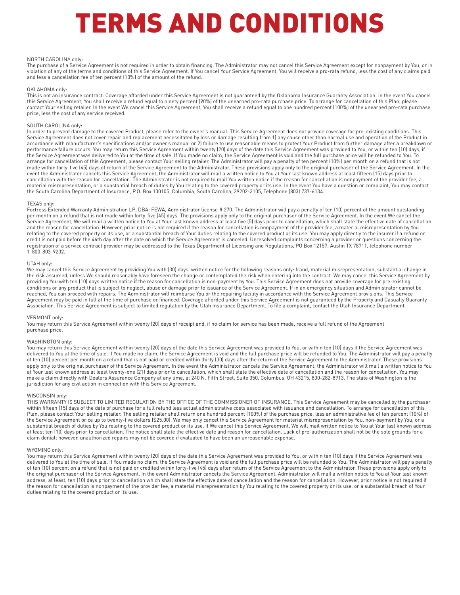#### NORTH CAROLINA only:

The purchase of a Service Agreement is not required in order to obtain financing. The Administrator may not cancel this Service Agreement except for nonpayment by You, or in violation of any of the terms and conditions of this Service Agreement. If You cancel Your Service Agreement, You will receive a pro-rata refund, less the cost of any claims paid and less a cancellation fee of ten percent (10%) of the amount of the refund.

#### OKLAHOMA only:

This is not an insurance contract. Coverage afforded under this Service Agreement is not guaranteed by the Oklahoma Insurance Guaranty Association. In the event You cancel this Service Agreement, You shall receive a refund equal to ninety percent (90%) of the unearned pro-rata purchase price. To arrange for cancellation of this Plan, please contact Your selling retailer. In the event We cancel this Service Agreement, You shall receive a refund equal to one hundred percent (100%) of the unearned pro-rata purchase price, less the cost of any service received.

#### SOUTH CAROLINA only:

In order to prevent damage to the covered Product, please refer to the owner's manual. This Service Agreement does not provide coverage for pre-existing conditions. This Service Agreement does not cover repair and replacement necessitated by loss or damage resulting from 1) any cause other than normal use and operation of the Product in accordance with manufacturer's specifications and/or owner's manual or 2) failure to use reasonable means to protect Your Product from further damage after a breakdown or performance failure occurs. You may return this Service Agreement within twenty (20) days of the date this Service Agreement was provided to You, or within ten (10) days, if the Service Agreement was delivered to You at the time of sale. If You made no claim, the Service Agreement is void and the full purchase price will be refunded to You. To arrange for cancellation of this Agreement, please contact Your selling retailer. The Administrator will pay a penalty of ten percent (10%) per month on a refund that is not made within forty-five (45) days of return of the Service Agreement to the Administrator. These provisions apply only to the original purchaser of the Service Agreement. In the event the Administrator cancels this Service Agreement, the Administrator will mail a written notice to You at Your last known address at least fifteen (15) days prior to cancellation with the reason for cancellation. The Administrator is not required to mail You written notice if the reason for cancellation is nonpayment of the provider fee, a material misrepresentation, or a substantial breach of duties by You relating to the covered property or its use. In the event You have a question or complaint, You may contact the South Carolina Department of Insurance, P.O. Box 100105, Columbia, South Carolina, 29202-3105, Telephone (803) 737-6134.

#### TEXAS only:

Fortress Extended Warranty Administration LP, DBA: FEWA, Administrator license # 270. The Administrator will pay a penalty of ten (10) percent of the amount outstanding per month on a refund that is not made within forty-five (45) days. The provisions apply only to the original purchaser of the Service Agreement. In the event We cancel the Service Agreement, We will mail a written notice to You at Your last known address at least five (5) days prior to cancellation, which shall state the effective date of cancellation and the reason for cancellation. However, prior notice is not required if the reason for cancellation is nonpayment of the provider fee, a material misrepresentation by You relating to the covered property or its use, or a substantial breach of Your duties relating to the covered product or its use. You may apply directly to the insurer if a refund or credit is not paid before the 46th day after the date on which the Service Agreement is canceled. Unresolved complaints concerning a provider or questions concerning the registration of a service contract provider may be addressed to the Texas Department of Licensing and Regulations, PO Box 12157, Austin TX 78711, telephone number 1-800-803-9202.

#### UTAH only:

We may cancel this Service Agreement by providing You with (30) days' written notice for the following reasons only: fraud, material misrepresentation, substantial change in the risk assumed, unless We should reasonably have foreseen the change or contemplated the risk when entering into the contract. We may cancel this Service Agreement by providing You with ten (10) days written notice if the reason for cancellation is non-payment by You. This Service Agreement does not provide coverage for pre-existing conditions or any product that is subject to neglect, abuse or damage prior to issuance of the Service Agreement. If in an emergency situation and Administrator cannot be reached, You can proceed with repairs. The Administrator will reimburse You or the repairing facility in accordance with the Service Agreement provisions. This Service Agreement may be paid in full at the time of purchase or financed. Coverage afforded under this Service Agreement is not guaranteed by the Property and Casualty Guaranty Association. This Service Agreement is subject to limited regulation by the Utah Insurance Department. To file a complaint, contact the Utah Insurance Department.

#### VERMONT only:

You may return this Service Agreement within twenty (20) days of receipt and, if no claim for service has been made, receive a full refund of the Agreement purchase price.

#### WASHINGTON only:

You may return this Service Agreement within twenty (20) days of the date this Service Agreement was provided to You, or within ten (10) days if the Service Agreement was delivered to You at the time of sale. If You made no claim, the Service Agreement is void and the full purchase price will be refunded to You. The Administrator will pay a penalty of ten (10) percent per month on a refund that is not paid or credited within thirty (30) days after the return of the Service Agreement to the Administrator. These provisions apply only to the original purchaser of the Service Agreement. In the event the Administrator cancels the Service Agreement, the Administrator will mail a written notice to You at Your last known address at least twenty-one (21) days prior to cancellation, which shall state the effective date of cancellation and the reason for cancellation. You may make a claim directly with Dealers Assurance Company at any time, at 240 N. Fifth Street, Suite 350, Columbus, OH 43215, 800-282-8913. The state of Washington is the jurisdiction for any civil action in connection with this Service Agreement.

#### WISCONSIN only:

THIS WARRANTY IS SUBJECT TO LIMITED REGULATION BY THE OFFICE OF THE COMMISSIONER OF INSURANCE. This Service Agreement may be cancelled by the purchaser within fifteen (15) days of the date of purchase for a full refund less actual administrative costs associated with issuance and cancellation. To arrange for cancellation of this Plan, please contact Your selling retailer. The selling retailer shall return one hundred percent (100%) of the purchase price, less an administrative fee of ten percent (10%) of the Service Agreement price up to twenty-five dollars (\$25.00). We may only cancel this Service Agreement for material misrepresentation by You, non-payment by You, or a substantial breach of duties by You relating to the covered product or its use. If We cancel this Service Agreement, We will mail written notice to You at Your last known address at least ten (10) days prior to cancellation. The notice shall state the effective date and reason for cancellation. Lack of pre-authorization shall not be the sole grounds for a claim denial; however, unauthorized repairs may not be covered if evaluated to have been an unreasonable expense.

#### WYOMING only:

You may return this Service Agreement within twenty (20) days of the date this Service Agreement was provided to You, or within ten (10) days if the Service Agreement was delivered to You at the time of sale. If You made no claim, the Service Agreement is void and the full purchase price will be refunded to You. The Administrator will pay a penalty of ten (10) percent on a refund that is not paid or credited within forty-five (45) days after return of the Service Agreement to the Administrator. These provisions apply only to the original purchaser of the Service Agreement. In the event Administrator cancels the Service Agreement, Administrator will mail a written notice to You at Your last known address, at least, ten (10) days prior to cancellation which shall state the effective date of cancellation and the reason for cancellation. However, prior notice is not required if the reason for cancellation is nonpayment of the provider fee, a material misrepresentation by You relating to the covered property or its use, or a substantial breach of Your duties relating to the covered product or its use.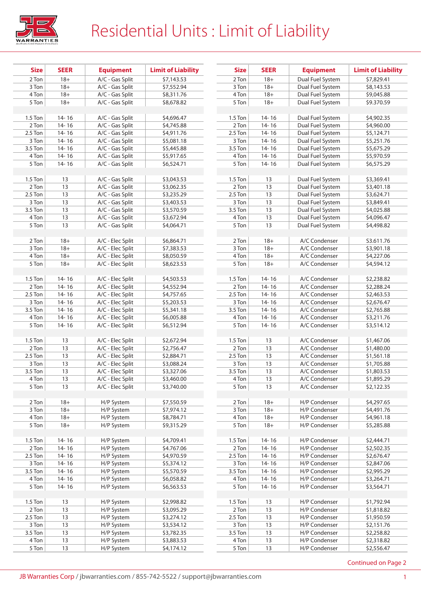

## Residential Units : Limit of Liability

| <b>Size</b>        | <b>SEER</b> | <b>Equipment</b> | <b>Limit of Liability</b> |
|--------------------|-------------|------------------|---------------------------|
| 2 Ton              | $18+$       | A/C - Gas Split  | \$7,143.53                |
| 3 Ton              | $18+$       | A/C - Gas Split  | \$7,552.94                |
| 4 Ton              | $18+$       | A/C - Gas Split  | \$8,311.76                |
| 5 Ton              | $18+$       | A/C - Gas Split  | \$8,678.82                |
|                    |             |                  |                           |
| $1.5$ Ton          | $14 - 16$   | A/C - Gas Split  | \$4,696.47                |
| 2 Ton              | $14 - 16$   | A/C - Gas Split  | \$4,745.88                |
| 2.5 Ton            | $14 - 16$   | A/C - Gas Split  | \$4,911.76                |
| 3 Ton              | $14 - 16$   | A/C - Gas Split  | \$5,081.18                |
| $3.5$ Ton          | $14 - 16$   | A/C - Gas Split  | \$5,445.88                |
| 4 Ton              | $14 - 16$   | A/C - Gas Split  | \$5,917.65                |
| 5 Ton              | $14 - 16$   | A/C - Gas Split  | \$6,524.71                |
|                    |             |                  |                           |
| $1.5$ Ton          | 13          | A/C - Gas Split  | \$3,043.53                |
| 2 Ton              | 13          | A/C - Gas Split  | \$3,062.35                |
| 2.5 Ton            | 13          | A/C - Gas Split  | \$3,235.29                |
| 3 Ton              | 13          | A/C - Gas Split  | \$3,403.53                |
| 3.5 Ton            | 13          | A/C - Gas Split  | \$3,570.59                |
| 4 Ton              | 13          | A/C - Gas Split  | \$3,672.94                |
| $\overline{5}$ Ton | 13          | A/C - Gas Split  | \$4,064.71                |
|                    |             |                  |                           |
| 2 Ton              | $18 +$      | A/C - Elec Split | \$6,864.71                |
| 3 Ton              | $18 +$      | A/C - Elec Split | \$7,383.53                |
| 4 Ton              | $18 +$      | A/C - Elec Split | \$8,050.59                |
| 5 Ton              | $18 +$      | A/C - Elec Split | \$8,623.53                |
|                    |             |                  |                           |
| $1.5$ Ton          | $14 - 16$   | A/C - Elec Split | \$4,503.53                |
| 2 Ton              | $14 - 16$   | A/C - Elec Split | \$4,552.94                |
| 2.5 Ton            | 14-16       | A/C - Elec Split | \$4,757.65                |
| $\overline{3}$ Ton | $14 - 16$   | A/C - Elec Split | 55,203.53                 |
| 3.5 Ton            | $14 - 16$   | A/C - Elec Split | \$5,341.18                |
| 4 Ton              | 14-16       | A/C - Elec Split | \$6,005.88                |
| 5 Ton              | $14 - 16$   | A/C - Elec Split | \$6,512.94                |
|                    |             |                  |                           |
| $1.5$ Ton          | 13          | A/C - Elec Split | \$2,672.94                |
| 2 Ton              | 13          | A/C - Elec Split | \$2,756.47                |
| 2.5 Ton            | 13          | A/C - Elec Split | \$2,884.71                |
| 3 Ton              | 13          | A/C - Elec Split | \$3,088.24                |
| 3.5 Ton            | 13          | A/C - Elec Split | \$3,327.06                |
| 4 Ton              | 13          | A/C - Elec Split | \$3,460.00                |
| 5 Ton              | 13          | A/C - Elec Split | \$3,740.00                |
|                    |             |                  |                           |
| 2 Ton              | $18 +$      | H/P System       | \$7,550.59                |
| 3 Ton              | $18 +$      | H/P System       | \$7,974.12                |
| 4 Ton              | $18 +$      | H/P System       | \$8,784.71                |
| 5 Ton              | $18 +$      | H/P System       | \$9,315.29                |
|                    |             |                  |                           |
| $1.5$ Ton          | $14 - 16$   | H/P System       | \$4,709.41                |
| 2 Ton              | 14-16       | H/P System       | \$4.767.06                |
| 2.5 Ton            | 14-16       | H/P System       | \$4,970.59                |
| 3 Ton              | 14-16       | H/P System       | \$5,374.12                |
| 3.5 Ton            | 14-16       | H/P System       | \$5,570.59                |
| 4 Ton              | 14-16       | H/P System       | \$6,058.82                |
| 5 Ton              | 14-16       | H/P System       | \$6,563.53                |
|                    |             |                  |                           |
| $1.5$ Ton          | 13          | H/P System       | \$2,998.82                |
| 2 Ton              | 13          | H/P System       | \$3,095.29                |
| 2.5 Ton            | 13          | H/P System       | \$3,274.12                |
| 3 Ton              | 13          | H/P System       | \$3,534.12                |
| 3.5 Ton            | 13          | H/P System       | \$3,782.35                |
| 4 Ton              | 13          | H/P System       | \$3,883.53                |
| 5 Ton              | 13          | H/P System       | \$4,174.12                |

| <b>Size</b>        | <b>SEER</b> | <b>Limit of Liability</b><br><b>Equipment</b> |                          |
|--------------------|-------------|-----------------------------------------------|--------------------------|
| 2 Ton              | $18+$       | Dual Fuel System                              | \$7,829.41               |
| 3 Ton              | $18+$       | Dual Fuel System                              | \$8,143.53               |
| 4 Ton              | $18 +$      | Dual Fuel System                              | \$9,045.88               |
| 5 Ton              | $18 +$      | Dual Fuel System                              | \$9.370.59               |
|                    |             |                                               |                          |
| 1.5 Ton            | 14-16       | Dual Fuel System                              | \$4,902.35               |
| 2 Ton              | $14 - 16$   | Dual Fuel System                              | \$4,960.00               |
| 2.5 Ton            | $14 - 16$   | Dual Fuel System                              | \$5,124.71               |
| 3 Ton              | $14 - 16$   | Dual Fuel System                              | \$5,251.76               |
| 3.5 Ton            | 14-16       | Dual Fuel System                              | \$5,675.29               |
| 4 Ton              | $14 - 16$   | Dual Fuel System                              | \$5,970.59               |
| 5 Ton              | $14 - 16$   | Dual Fuel System                              | \$6,575.29               |
|                    |             |                                               |                          |
| $1.5$ Ton          | 13          | Dual Fuel System                              | \$3,369.41               |
| 2 Ton              | 13          | Dual Fuel System                              | 53,401.18                |
| 2.5 Ton            | 13          | Dual Fuel System                              | \$3,624.71               |
| 3 Ton              | 13          | Dual Fuel System                              | \$3,849.41               |
| $3.5$ Ton          | 13          | Dual Fuel System                              | \$4,025.88               |
| 4 Ton              | 13          | Dual Fuel System                              | \$4,096.47               |
| 5 Ton              | 13          | Dual Fuel System                              | \$4,498.82               |
|                    |             |                                               |                          |
| 2 Ton              | $18+$       | A/C Condenser                                 | S3.611.76                |
| $\overline{3}$ Ton | $18+$       | A/C Condenser                                 | \$3,901.18               |
| 4 Ton              |             | A/C Condenser                                 |                          |
|                    | $18 +$      | A/C Condenser                                 | \$4,227.06               |
| 5 Ton              | $18+$       |                                               | \$4,594.12               |
| $1.5$ Ton          | 14-16       | A/C Condenser                                 |                          |
| 2 Ton              | $14 - 16$   | A/C Condenser                                 | \$2,238.82<br>\$2,288.24 |
| 2.5 Ton            | $14 - 16$   | A/C Condenser                                 |                          |
|                    |             |                                               | \$2,463.53               |
| 3 Ton              | $14 - 16$   | A/C Condenser                                 | \$2,676.47               |
| 3.5 Ton            | $14 - 16$   | A/C Condenser                                 | \$2,765.88               |
| 4 Ton              | 14-16       | A/C Condenser                                 | \$3,211.76               |
| 5 Ton              | $14 - 16$   | A/C Condenser                                 | \$3,514.12               |
| 1.5 Ton            |             | A/C Condenser                                 |                          |
| 2 Ton              | 13          | A/C Condenser                                 | \$1,467.06               |
|                    | 13          |                                               | \$1,480.00               |
| 2.5 Ton<br>3 Ton   | 13          | A/C Condenser                                 | \$1,561.18               |
|                    | 13          | A/C Condenser                                 | \$1,705.88               |
| 3.5 Ton            | 13          | A/C Condenser                                 | \$1,803.53               |
| 4 Ton              | 13          | A/C Condenser                                 | \$1,895.29               |
| 5 Ton              | 13          | A/C Condenser                                 | \$2,122.35               |
|                    |             | H/P Condenser                                 |                          |
| 2 Ton              | $18 +$      |                                               | \$4,297.65               |
| 3 Ton              | $18 +$      | H/P Condenser                                 | \$4,491.76               |
| 4 Ton              | $18 +$      | H/P Condenser                                 | \$4,961.18               |
| 5 Ton              | $18 +$      | H/P Condenser                                 | \$5,285.88               |
|                    |             |                                               |                          |
| $1.5$ Ton          | 14-16       | H/P Condenser                                 | \$2,444.71<br>\$2,502.35 |
| 2 Ton              | $14 - 16$   | H/P Condenser                                 |                          |
| 2.5 Ton<br>3 Ton   | $14 - 16$   | H/P Condenser<br>H/P Condenser                | \$2,676.47               |
|                    | 14-16       |                                               | \$2,847.06               |
| 3.5 Ton            | 14-16       | H/P Condenser                                 | \$2,995.29               |
| 4 Ton              | $14 - 16$   | H/P Condenser                                 | \$3,264.71               |
| 5 Ton              | $14 - 16$   | H/P Condenser                                 | \$3,564.71               |
|                    |             |                                               |                          |
| 1.5 Ton            | 13          | H/P Condenser                                 | \$1,792.94               |
| 2 Ton              | 13          | H/P Condenser                                 | \$1,818.82               |
| 2.5 Ton            | 13          | H/P Condenser                                 | \$1,950.59               |
| 3 Ton              | 13          | H/P Condenser                                 | \$2,151.76               |
| 3.5 Ton            | 13          | H/P Condenser                                 | \$2,258.82               |
| 4 Ton              | 13          | H/P Condenser                                 | \$2,318.82               |
| 5 Ton              | 13          | H/P Condenser                                 | \$2,556.47               |

Continued on Page 2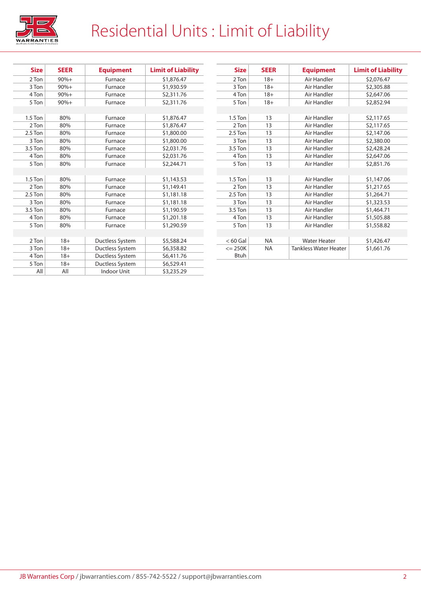

## Residential Units : Limit of Liability

| <b>Size</b> | <b>SEER</b> | <b>Equipment</b>   | <b>Limit of Liability</b> |
|-------------|-------------|--------------------|---------------------------|
| 2 Ton       | $90% +$     | Furnace            | \$1,876.47                |
| 3 Ton       | $90%+$      | Furnace            | \$1,930.59                |
| 4 Ton       | $90% +$     | Furnace            | S2,311.76                 |
| 5 Ton       | $90% +$     | Furnace            | S2,311.76                 |
|             |             |                    |                           |
| $1.5$ Ton   | 80%         | Furnace            | \$1,876.47                |
| 2 Ton       | 80%         | Furnace            | \$1,876.47                |
| 2.5 Ton     | 80%         | Furnace            | \$1,800.00                |
| 3 Ton       | 80%         | Furnace            | \$1,800.00                |
| 3.5 Ton     | 80%         | Furnace            | \$2,031.76                |
| 4 Ton       | 80%         | Furnace            | \$2,031.76                |
| 5 Ton       | 80%         | Furnace            | \$2,244.71                |
|             |             |                    |                           |
| 1.5 Ton     | 80%         | Furnace            | \$1,143.53                |
| 2 Ton       | 80%         | Furnace            | \$1,149.41                |
| 2.5 Ton     | 80%         | Furnace            | \$1,181.18                |
| 3 Ton       | 80%         | Furnace            | \$1,181.18                |
| 3.5 Ton     | 80%         | Furnace            | \$1,190.59                |
| 4 Ton       | 80%         | Furnace            | \$1,201.18                |
| 5 Ton       | 80%         | Furnace            | \$1,290.59                |
|             |             |                    |                           |
| 2 Ton       | $18+$       | Ductless System    | \$5,588.24                |
| 3 Ton       | $18+$       | Ductless System    | \$6,358.82                |
| 4 Ton       | $18+$       | Ductless System    | S6,411.76                 |
| 5 Ton       | $18+$       | Ductless System    | \$6,529.41                |
| All         | All         | <b>Indoor Unit</b> | \$3,235.29                |

| <b>Size</b> | <b>SEER</b> | <b>Equipment</b>             | <b>Limit of Liability</b> |
|-------------|-------------|------------------------------|---------------------------|
| 2 Ton       | $18+$       | Air Handler                  | \$2,076.47                |
| 3 Ton       | $18+$       | Air Handler                  | \$2,305.88                |
| 4 Ton       | $18+$       | Air Handler                  | \$2,647.06                |
| 5 Ton       | $18+$       | Air Handler                  | \$2,852.94                |
|             |             |                              |                           |
| $1.5$ Ton   | 13          | Air Handler                  | S2,117.65                 |
| 2 Ton       | 13          | Air Handler                  | S2,117.65                 |
| 2.5 Ton     | 13          | Air Handler                  | \$2,147.06                |
| 3 Ton       | 13          | Air Handler                  | \$2,380.00                |
| 3.5 Ton     | 13          | Air Handler                  | \$2,428.24                |
| 4 Ton       | 13          | Air Handler                  | \$2,647.06                |
| 5 Ton       | 13          | Air Handler                  | \$2,851.76                |
|             |             |                              |                           |
| $1.5$ Ton   | 13          | Air Handler                  | \$1,147.06                |
| 2 Ton       | 13          | Air Handler                  | \$1,217.65                |
| $2.5$ Ton   | 13          | Air Handler                  | \$1,264.71                |
| 3 Ton       | 13          | Air Handler                  | \$1,323.53                |
| 3.5 Ton     | 13          | Air Handler                  | \$1,464.71                |
| 4 Ton       | 13          | Air Handler                  | \$1,505.88                |
| 5 Ton       | 13          | Air Handler                  | \$1,558.82                |
|             |             |                              |                           |
| $< 60$ Gal  | <b>NA</b>   | <b>Water Heater</b>          | \$1,426.47                |
| $= 250K$    | <b>NA</b>   | <b>Tankless Water Heater</b> | \$1,661.76                |
| <b>Btuh</b> |             |                              |                           |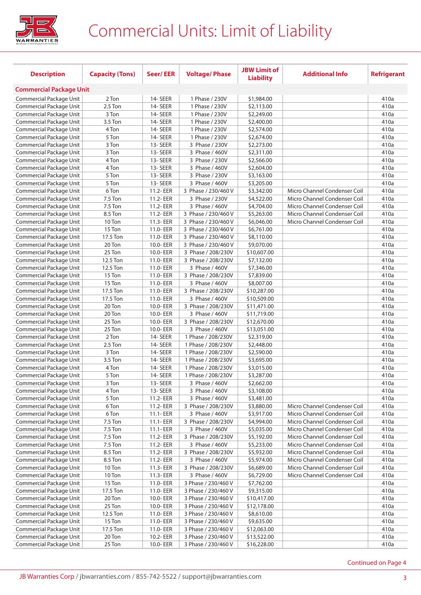

## Commercial Units: Limit of Liability

|                                                    |                        |                      |                                      | <b>JBW Limit of</b>       |                              |                    |
|----------------------------------------------------|------------------------|----------------------|--------------------------------------|---------------------------|------------------------------|--------------------|
| <b>Description</b>                                 | <b>Capacity (Tons)</b> | <b>Seer/EER</b>      | <b>Voltage/Phase</b>                 | <b>Liability</b>          | <b>Additional Info</b>       | <b>Refrigerant</b> |
| <b>Commercial Package Unit</b>                     |                        |                      |                                      |                           |                              |                    |
| Commercial Package Unit                            | 2 Ton                  | 14-SEER              | 1 Phase / 230V                       | \$1,984.00                |                              | 410a               |
| Commercial Package Unit                            | 2.5 Ton                | 14-SEER              | 1 Phase / 230V                       | \$2,113.00                |                              | 410a               |
| Commercial Package Unit                            | 3 Ton                  | 14-SEER              | 1 Phase / 230V                       | \$2,249.00                |                              | 410a               |
| Commercial Package Unit                            | 3.5 Ton                | 14-SEER              | 1 Phase / 230V                       | \$2,400.00                |                              | 410a               |
| Commercial Package Unit                            | 4 Ton                  | 14-SEER              | 1 Phase / 230V                       | \$2,574.00                |                              | 410a               |
| Commercial Package Unit                            | 5 Ton                  | 14-SEER              | 1 Phase / 230V                       | \$2,674.00                |                              | 410a               |
| Commercial Package Unit                            | 3 Ton                  | 13-SEER              | 3 Phase / 230V                       | \$2,273.00                |                              | 410a               |
| Commercial Package Unit                            | 3 Ton                  | 13-SEER              | 3 Phase / 460V                       | \$2,311.00                |                              | 410a               |
| Commercial Package Unit                            | 4 Ton                  | 13-SEER              | 3 Phase / 230V                       | \$2,566.00                |                              | 410a               |
| Commercial Package Unit                            | 4 Ton                  | 13-SEER              | 3 Phase / 460V                       | \$2,604.00                |                              | 410a               |
| Commercial Package Unit                            | 5 Ton                  | 13-SEER              | 3 Phase / 230V                       | \$3,163.00                |                              | 410a               |
| Commercial Package Unit                            | 5 Ton                  | 13-SEER              | 3 Phase / 460V                       | \$3,205.00                |                              | 410a               |
| Commercial Package Unit                            | 6 Ton                  | 11.2- EER            | 3 Phase / 230/460 V                  | \$3,342.00                | Micro Channel Condenser Coil | 410a               |
| Commercial Package Unit                            | 7.5 Ton                | 11.2- EER            | 3 Phase / 230V                       | \$4,522.00                | Micro Channel Condenser Coil | 410a               |
| Commercial Package Unit                            | 7.5 Ton                | 11.2- EER            | 3 Phase / 460V                       | \$4,704.00                | Micro Channel Condenser Coil | 410a               |
| Commercial Package Unit                            | 8.5 Ton                | 11.2- EER            | 3 Phase / 230/460 V                  | \$5,263.00                | Micro Channel Condenser Coil | 410a               |
| Commercial Package Unit                            | 10 Ton                 | 11.3-EER             | 3 Phase / 230/460 V                  | \$6,046.00                | Micro Channel Condenser Coil | 410a               |
| Commercial Package Unit                            | 15 Ton                 | 11.0- EER            | 3 Phase / 230/460 V                  | \$6,761.00                |                              | 410a               |
| Commercial Package Unit                            | 17.5 Ton               | 11.0- EER            | 3 Phase / 230/460 V                  | \$8,110.00                |                              | 410a               |
| Commercial Package Unit                            | 20 Ton                 | 10.0- EER            | 3 Phase / 230/460 V                  | \$9,070.00                |                              | 410a               |
| Commercial Package Unit                            | 25 Ton                 | 10.0- EER            | 3 Phase / 208/230V                   | \$10,607.00               |                              | 410a               |
| Commercial Package Unit                            | 12.5 Ton               | 11.0- EER            | 3 Phase / 208/230V                   | \$7,132.00                |                              | 410a               |
| Commercial Package Unit                            | 12.5 Ton               | 11.0- EER            | 3 Phase / 460V                       | \$7,346.00                |                              | 410a               |
| Commercial Package Unit                            | 15 Ton                 | 11.0- EER            | 3 Phase / 208/230V                   | \$7,839.00                |                              | 410a               |
| Commercial Package Unit                            | 15 Ton                 | 11.0- EER            | 3 Phase / 460V                       | \$8,007.00                |                              | 410a               |
| Commercial Package Unit                            | 17.5 Ton               | 11.0- EER            | 3 Phase / 208/230V                   | \$10,287.00               |                              | 410a               |
| Commercial Package Unit                            | 17.5 Ton               | 11.0- EER            | 3 Phase / 460V                       | \$10,509.00               |                              | 410a               |
| Commercial Package Unit                            | 20 Ton                 | 10.0- EER            | 3 Phase / 208/230V                   | \$11,471.00               |                              | 410a               |
| Commercial Package Unit                            | 20 Ton                 | 10.0- EER            | 3 Phase / 460V                       | \$11,719.00               |                              | 410a               |
| Commercial Package Unit                            | 25 Ton<br>25 Ton       | 10.0- EER            | 3 Phase / 208/230V                   | \$12,670.00               |                              | 410a               |
| Commercial Package Unit<br>Commercial Package Unit | 2 Ton                  | 10.0- EER<br>14-SEER | 3 Phase / 460V<br>1 Phase / 208/230V | \$13,051.00<br>\$2,319.00 |                              | 410a<br>410a       |
| Commercial Package Unit                            | 2.5 Ton                | 14-SEER              | 1 Phase / 208/230V                   | \$2,448.00                |                              | 410a               |
| Commercial Package Unit                            | 3 Ton                  | 14-SEER              | 1 Phase / 208/230V                   | \$2,590.00                |                              | 410a               |
| Commercial Package Unit                            | 3.5 Ton                | 14-SEER              | 1 Phase / 208/230V                   | \$3,695.00                |                              | 410a               |
| Commercial Package Unit                            | 4 Ton                  | 14-SEER              | 1 Phase / 208/230V                   | \$3,015.00                |                              | 410a               |
| Commercial Package Unit                            | 5 Ton                  | 14-SEER              | 1 Phase / 208/230V                   | \$3,287.00                |                              | 410a               |
| Commercial Package Unit                            | 3 Ton                  | 13-SEER              | 3 Phase / 460V                       | \$2,662.00                |                              | 410a               |
| Commercial Package Unit                            | 4 Ton                  | 13-SEER              | 3 Phase / 460V                       | \$3,108.00                |                              | 410a               |
| Commercial Package Unit                            | 5 Ton                  | 11.2- EER            | 3 Phase / 460V                       | \$3,481.00                |                              | 410a               |
| Commercial Package Unit                            | 6 Ton                  | 11.2- EER            | 3 Phase / 208/230V                   | \$3,880.00                | Micro Channel Condenser Coil | 410a               |
| Commercial Package Unit                            | 6 Ton                  | 11.1- EER            | 3 Phase / 460V                       | \$3,917.00                | Micro Channel Condenser Coil | 410a               |
| Commercial Package Unit                            | 7.5 Ton                | 11.1- EER            | 3 Phase / 208/230V                   | \$4,994.00                | Micro Channel Condenser Coil | 410a               |
| Commercial Package Unit                            | 7.5 Ton                | 11.1- EER            | 3 Phase / 460V                       | \$5,035.00                | Micro Channel Condenser Coil | 410a               |
| Commercial Package Unit                            | 7.5 Ton                | 11.2- EER            | 3 Phase / 208/230V                   | \$5,192.00                | Micro Channel Condenser Coil | 410a               |
| Commercial Package Unit                            | 7.5 Ton                | 11.2- EER            | 3 Phase / 460V                       | \$5,233.00                | Micro Channel Condenser Coil | 410a               |
| Commercial Package Unit                            | 8.5 Ton                | 11.2- EER            | 3 Phase / 208/230V                   | \$5,932.00                | Micro Channel Condenser Coil | 410a               |
| Commercial Package Unit                            | 8.5 Ton                | 11.2- EER            | 3 Phase / 460V                       | \$5,974.00                | Micro Channel Condenser Coil | 410a               |
| Commercial Package Unit                            | 10 Ton                 | 11.3- EER            | 3 Phase / 208/230V                   | \$6,689.00                | Micro Channel Condenser Coil | 410a               |
| Commercial Package Unit                            | 10 Ton                 | 11.3- EER            | 3 Phase / 460V                       | \$6,729.00                | Micro Channel Condenser Coil | 410a               |
| Commercial Package Unit                            | 15 Ton                 | 11.0- EER            | 3 Phase / 230/460 V                  | \$7,762.00                |                              | 410a               |
| Commercial Package Unit                            | 17.5 Ton               | 11.0- EER            | 3 Phase / 230/460 V                  | \$9,315.00                |                              | 410a               |
| Commercial Package Unit                            | 20 Ton                 | 10.0- EER            | 3 Phase / 230/460 V                  | \$10,417.00               |                              | 410a               |
| Commercial Package Unit                            | 25 Ton                 | 10.0- EER            | 3 Phase / 230/460 V                  | \$12,178.00               |                              | 410a               |
| Commercial Package Unit                            | 12.5 Ton               | 11.0- EER            | 3 Phase / 230/460 V                  | \$8,610.00                |                              | 410a               |
| Commercial Package Unit                            | 15 Ton                 | 11.0- EER            | 3 Phase / 230/460 V                  | \$9,635.00                |                              | 410a               |
| Commercial Package Unit                            | 17.5 Ton               | 11.0- EER            | 3 Phase / 230/460 V                  | \$12,063.00               |                              | 410a               |
| Commercial Package Unit                            | 20 Ton                 | 10.2- EER            | 3 Phase / 230/460 V                  | \$13,522.00               |                              | 410a               |
| Commercial Package Unit                            | 25 Ton                 | 10.0- EER            | 3 Phase / 230/460 V                  | \$16,228.00               |                              | 410a               |